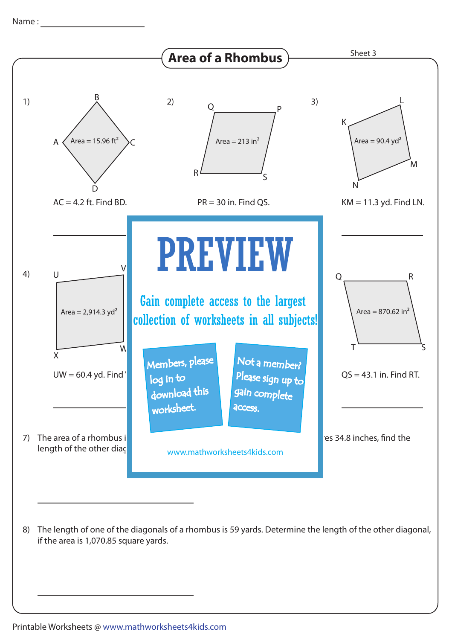